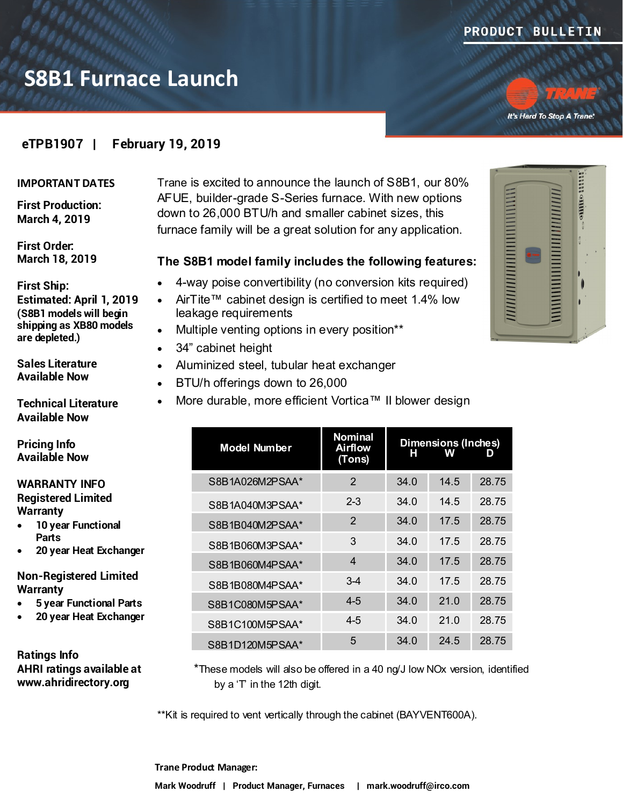

# **S8B1 Furnace Launch**

It's Hard To Stop A Trane.

### **eTPB1907 | February 19, 2019**

#### **IMPORTANT DATES**

**First Production: March 4, 2019**

**First Order: March 18, 2019**

#### **First Ship:**

**Estimated: April 1, 2019 (S8B1 models will begin shipping as XB80 models are depleted.)**

**Sales Literature Available Now**

**Technical Literature Available Now**

**Pricing Info Available Now**

#### **WARRANTY INFO Registered Limited Warranty**

 **10 year Functional Parts**

**20 year Heat Exchanger**

**Non-Registered Limited Warranty**

- **5 year Functional Parts**
- **20 year Heat Exchanger**

**Ratings Info AHRI ratings available at www.ahridirectory.org**

Trane is excited to announce the launch of S8B1, our 80% AFUE, builder-grade S-Series furnace. With new options down to 26,000 BTU/h and smaller cabinet sizes, this furnace family will be a great solution for any application.

#### **The S8B1 model family includes the following features:**

- 4-way poise convertibility (no conversion kits required)
- AirTite™ cabinet design is certified to meet 1.4% low leakage requirements
- Multiple venting options in every position\*\*
- 34" cabinet height
- Aluminized steel, tubular heat exchanger
- BTU/h offerings down to 26,000
- More durable, more efficient Vortica™ II blower design

| <b>Model Number</b> | <b>Nominal</b><br><b>Airflow</b><br>(Tons) | н    | <b>Dimensions (Inches)</b><br>w | D     |
|---------------------|--------------------------------------------|------|---------------------------------|-------|
| S8B1A026M2PSAA*     | $\overline{2}$                             | 34.0 | 14.5                            | 28.75 |
| S8B1A040M3PSAA*     | $2 - 3$                                    | 34.0 | 14.5                            | 28.75 |
| S8B1B040M2PSAA*     | 2                                          | 34.0 | 17.5                            | 28.75 |
| S8B1B060M3PSAA*     | 3                                          | 34.0 | 17.5                            | 28.75 |
| S8B1B060M4PSAA*     | 4                                          | 34.0 | 17.5                            | 28.75 |
| S8B1B080M4PSAA*     | $3 - 4$                                    | 34.0 | 17.5                            | 28.75 |
| S8B1C080M5PSAA*     | $4 - 5$                                    | 34.0 | 21.0                            | 28.75 |
| S8B1C100M5PSAA*     | 4-5                                        | 34.0 | 21.0                            | 28.75 |
| S8B1D120M5PSAA*     | 5                                          | 34.0 | 24.5                            | 28.75 |
|                     |                                            |      |                                 |       |

\*These models will also be offered in a 40 ng/J low NOx version, identified by a 'T' in the 12th digit.

\*\*Kit is required to vent vertically through the cabinet (BAYVENT600A).